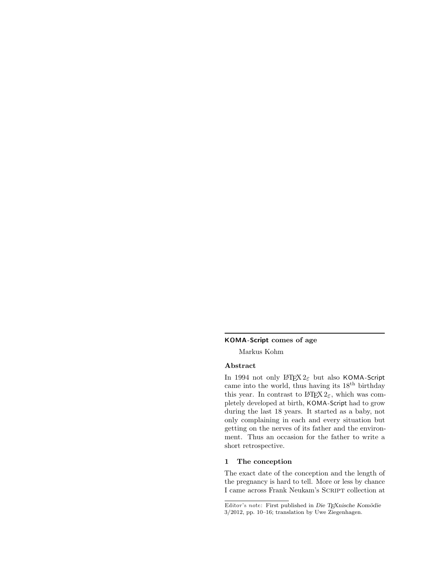# KOMA -Script comes of age

Markus Kohm

# Abstract

In 1994 not only  $L^2 \to 2\varepsilon$  but also KOMA-Script came into the world, thus having its  $18^{th}$  birthday this year. In contrast to  $\mathbb{M}\mathrm{F}\mathrm{X}\, 2\overset{\circ}{\varepsilon},$  which was completely developed at birth, KOMA -Script had to grow during the last 18 years. It started as a baby, not only complaining in each and every situation but getting on the nerves of its father and the environment. Thus an occasion for the father to write a short retrospective.

# 1 The conception

The exact date of the conception and the length of the pregnancy is hard to tell. More or less by chance I came across Frank Neukam's Script collection at

Editor's note: First published in Die TFXnische Komödie 3/2012, pp. 10–16; translation by Uwe Ziegenhagen.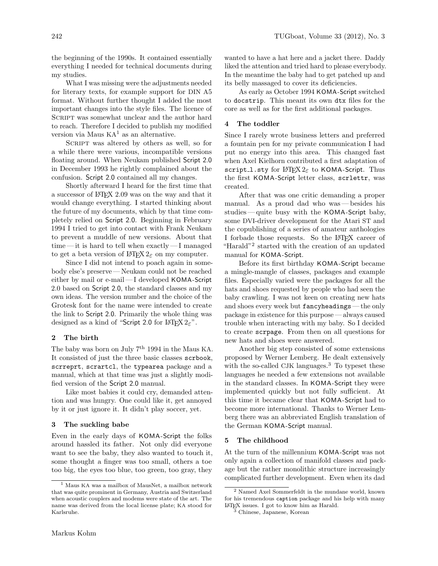the beginning of the 1990s. It contained essentially everything I needed for technical documents during my studies.

What I was missing were the adjustments needed for literary texts, for example support for DIN A5 format. Without further thought I added the most important changes into the style files. The licence of SCRIPT was somewhat unclear and the author hard to reach. Therefore I decided to publish my modified version via Maus  $KA<sup>1</sup>$  as an alternative.

SCRIPT was altered by others as well, so for a while there were various, incompatible versions floating around. When Neukam published Script 2.0 in December 1993 he rightly complained about the confusion. Script 2.0 contained all my changes.

Shortly afterward I heard for the first time that a successor of LATEX 2.09 was on the way and that it would change everything. I started thinking about the future of my documents, which by that time completely relied on Script 2.0. Beginning in February 1994 I tried to get into contact with Frank Neukam to prevent a muddle of new versions. About that  $time$ — it is hard to tell when exactly—I managed to get a beta version of  $\text{LATEX } 2\varepsilon$  on my computer.

Since I did not intend to poach again in somebody else's preserve — Neukam could not be reached either by mail or e-mail — I developed KOMA-Script 2.0 based on Script 2.0, the standard classes and my own ideas. The version number and the choice of the Grotesk font for the name were intended to create the link to Script 2.0. Primarily the whole thing was designed as a kind of "Script 2.0 for LAT<sub>E</sub>X  $2\varepsilon$ ".

# 2 The birth

The baby was born on July  $7<sup>th</sup> 1994$  in the Maus KA. It consisted of just the three basic classes scrbook, scrreprt, scrartcl, the typearea package and a manual, which at that time was just a slightly modified version of the Script 2.0 manual.

Like most babies it could cry, demanded attention and was hungry. One could like it, get annoyed by it or just ignore it. It didn't play soccer, yet.

# 3 The suckling babe

Even in the early days of KOMA -Script the folks around hassled its father. Not only did everyone want to see the baby, they also wanted to touch it, some thought a finger was too small, others a toe too big, the eyes too blue, too green, too gray, they

wanted to have a hat here and a jacket there. Daddy liked the attention and tried hard to please everybody. In the meantime the baby had to get patched up and its belly massaged to cover its deficiencies.

As early as October 1994 KOMA -Script switched to docstrip. This meant its own dtx files for the core as well as for the first additional packages.

#### 4 The toddler

Since I rarely wrote business letters and preferred a fountain pen for my private communication I had put no energy into this area. This changed fast when Axel Kielhorn contributed a first adaptation of script l.sty for  $\text{Lipx2}_{\epsilon}$  to KOMA-Script. Thus the first KOMA-Script letter class, scrlettr, was created.

After that was one critic demanding a proper manual. As a proud dad who was— besides his studies—quite busy with the KOMA-Script baby, some DVI-driver development for the Atari ST and the copublishing of a series of amateur anthologies I forbade those requests. So the L<sup>AT</sup>FX career of "Harald"<sup>2</sup> started with the creation of an updated manual for KOMA-Script.

Before its first birthday KOMA -Script became a mingle-mangle of classes, packages and example files. Especially varied were the packages for all the hats and shoes requested by people who had seen the baby crawling. I was not keen on creating new hats and shoes every week but fancyheadings — the only package in existence for this purpose — always caused trouble when interacting with my baby. So I decided to create scrpage. From then on all questions for new hats and shoes were answered.

Another big step consisted of some extensions proposed by Werner Lemberg. He dealt extensively with the so-called CJK languages. $3$  To typeset these languages he needed a few extensions not available in the standard classes. In KOMA -Script they were implemented quickly but not fully sufficient. At this time it became clear that KOMA -Script had to become more international. Thanks to Werner Lemberg there was an abbreviated English translation of the German KOMA -Script manual.

# 5 The childhood

At the turn of the millennium KOMA-Script was not only again a collection of manifold classes and package but the rather monolithic structure increasingly complicated further development. Even when its dad

<sup>1</sup> Maus KA was a mailbox of MausNet, a mailbox network that was quite prominent in Germany, Austria and Switzerland when acoustic couplers and modems were state of the art. The name was derived from the local license plate; KA stood for Karlsruhe.

<sup>2</sup> Named Axel Sommerfeldt in the mundane world, known for his tremendous caption package and his help with many LATEX issues. I got to know him as Harald.

<sup>3</sup> Chinese, Japanese, Korean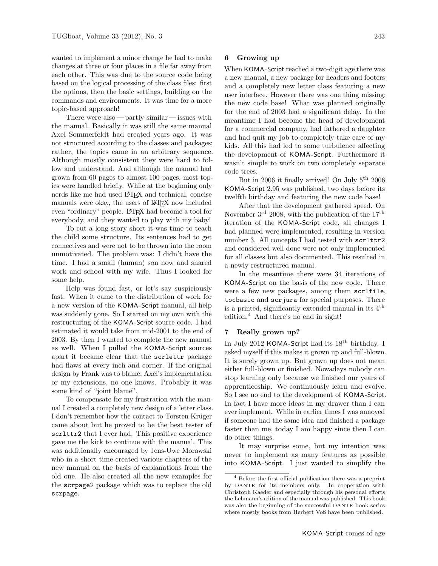wanted to implement a minor change he had to make changes at three or four places in a file far away from each other. This was due to the source code being based on the logical processing of the class files: first the options, then the basic settings, building on the commands and environments. It was time for a more topic-based approach!

There were also— partly similar— issues with the manual. Basically it was still the same manual Axel Sommerfeldt had created years ago. It was not structured according to the classes and packages; rather, the topics came in an arbitrary sequence. Although mostly consistent they were hard to follow and understand. And although the manual had grown from 60 pages to almost 100 pages, most topics were handled briefly. While at the beginning only nerds like me had used LAT<sub>EX</sub> and technical, concise manuals were okay, the users of L<sup>AT</sup>FX now included even "ordinary" people. LAT<sub>EX</sub> had become a tool for everybody, and they wanted to play with my baby!

To cut a long story short it was time to teach the child some structure. Its sentences had to get connectives and were not to be thrown into the room unmotivated. The problem was: I didn't have the time. I had a small (human) son now and shared work and school with my wife. Thus I looked for some help.

Help was found fast, or let's say suspiciously fast. When it came to the distribution of work for a new version of the KOMA -Script manual, all help was suddenly gone. So I started on my own with the restructuring of the KOMA -Script source code. I had estimated it would take from mid-2001 to the end of 2003. By then I wanted to complete the new manual as well. When I pulled the KOMA -Script sources apart it became clear that the scrlettr package had flaws at every inch and corner. If the original design by Frank was to blame, Axel's implementation or my extensions, no one knows. Probably it was some kind of "joint blame".

To compensate for my frustration with the manual I created a completely new design of a letter class. I don't remember how the contact to Torsten Krüger came about but he proved to be the best tester of scrlttr2 that I ever had. This positive experience gave me the kick to continue with the manual. This was additionally encouraged by Jens-Uwe Morawski who in a short time created various chapters of the new manual on the basis of explanations from the old one. He also created all the new examples for the scrpage2 package which was to replace the old scrpage.

## 6 Growing up

When KOMA-Script reached a two-digit age there was a new manual, a new package for headers and footers and a completely new letter class featuring a new user interface. However there was one thing missing: the new code base! What was planned originally for the end of 2003 had a significant delay. In the meantime I had become the head of development for a commercial company, had fathered a daughter and had quit my job to completely take care of my kids. All this had led to some turbulence affecting the development of KOMA -Script. Furthermore it wasn't simple to work on two completely separate code trees.

But in 2006 it finally arrived! On July 5th 2006 KOMA -Script 2.95 was published, two days before its twelfth birthday and featuring the new code base!

After that the development gathered speed. On November  $3^{\text{rd}}$  2008, with the publication of the  $17^{\text{th}}$ iteration of the KOMA-Script code, all changes I had planned were implemented, resulting in version number 3. All concepts I had tested with scrlttr2 and considered well done were not only implemented for all classes but also documented. This resulted in a newly restructured manual.

In the meantime there were 34 iterations of KOMA -Script on the basis of the new code. There were a few new packages, among them scrlfile, tocbasic and scrjura for special purposes. There is a printed, significantly extended manual in its 4th edition.<sup>4</sup> And there's no end in sight!

## 7 Really grown up?

In July 2012 KOMA-Script had its  $18<sup>th</sup>$  birthday. I asked myself if this makes it grown up and full-blown. It is surely grown up. But grown up does not mean either full-blown or finished. Nowadays nobody can stop learning only because we finished our years of apprenticeship. We continuously learn and evolve. So I see no end to the development of KOMA-Script. In fact I have more ideas in my drawer than I can ever implement. While in earlier times I was annoyed if someone had the same idea and finished a package faster than me, today I am happy since then I can do other things.

It may surprise some, but my intention was never to implement as many features as possible into KOMA -Script. I just wanted to simplify the

<sup>4</sup> Before the first official publication there was a preprint by DANTE for its members only. In cooperation with Christoph Kaeder and especially through his personal efforts the Lehmann's edition of the manual was published. This book was also the beginning of the successful DANTE book series where mostly books from Herbert Voß have been published.